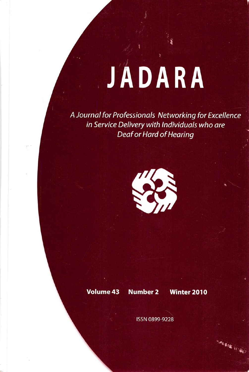# JADARA

A Journal for Professionals Networking for Excellence in Service Delivery with Individuals who are Deaf or Hard of Hearing



Volume 43 Number 2 Winter 2010

**Mario Balde Valledo** 

ISSN 0899-9228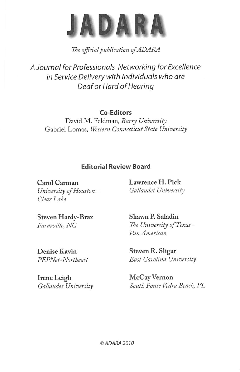

The official publication of ADARA

A Journal for Professionals Networking for Excellence in Service Delivery with individuals who are Deaf or Hard of Hearing

# Co-Editors

David M. Feldman, Barry University Gabriel Lomas, Western Connecticut State University

# Editorial Review Board

Carol Carman University of Houston - Clear Lake

Lawrence H. Pick Gallaudet University

Steven Hardy-Braz Farmville, NC

Denise Kavin PEPNet-Northeast

Irene Leigh Gallaudet University Shawn P. Saladin The University of Texas -Pan American

Steven R. Sligar East Carolina University

McCay Vernon South Ponte Vedra Beach, FL